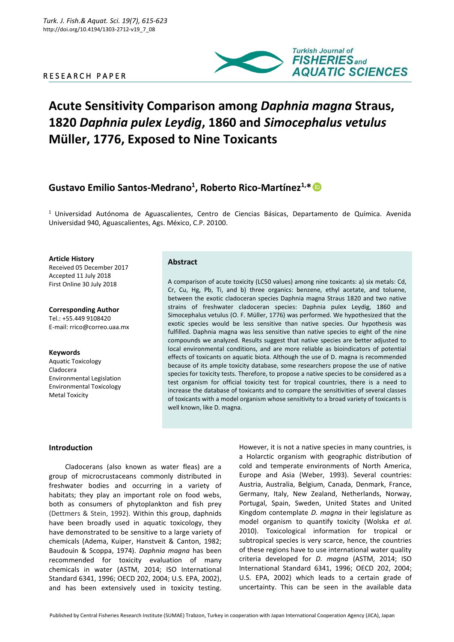# R E S E A R C H P A P E R



# **Acute Sensitivity Comparison among** *Daphnia magna* **Straus, 1820** *Daphnia pulex Leydig***, 1860 and** *Simocephalus vetulus* **Müller, 1776, Exposed to Nine Toxicants**

# **Gustavo Emilio Santos-Medrano<sup>1</sup> , Roberto Rico-Martínez1,\***

 $1$  Universidad Autónoma de Aguascalientes. Centro de Ciencias Básicas. Departamento de Química. Avenida Universidad 940, Aguascalientes, Ags. México, C.P. 20100.

**Article History**

Received 05 December 2017 Accepted 11 July 2018 First Online 30 July 2018

**Corresponding Author** Tel.: +55.449 9108420 E-mail: rrico@correo.uaa.mx

**Keywords** Aquatic Toxicology Cladocera Environmental Legislation Environmental Toxicology Metal Toxicity

# **Abstract**

A comparison of acute toxicity (LC50 values) among nine toxicants: a) six metals: Cd, Cr, Cu, Hg, Pb, Ti, and b) three organics: benzene, ethyl acetate, and toluene, between the exotic cladoceran species Daphnia magna Straus 1820 and two native strains of freshwater cladoceran species: Daphnia pulex Leydig, 1860 and Simocephalus vetulus (O. F. Müller, 1776) was performed. We hypothesized that the exotic species would be less sensitive than native species. Our hypothesis was fulfilled. Daphnia magna was less sensitive than native species to eight of the nine compounds we analyzed. Results suggest that native species are better adjusted to local environmental conditions, and are more reliable as bioindicators of potential effects of toxicants on aquatic biota. Although the use of D. magna is recommended because of its ample toxicity database, some researchers propose the use of native species for toxicity tests. Therefore, to propose a native species to be considered as a test organism for official toxicity test for tropical countries, there is a need to increase the database of toxicants and to compare the sensitivities of several classes of toxicants with a model organism whose sensitivity to a broad variety of toxicants is well known, like D. magna.

## **Introduction**

Cladocerans (also known as water fleas) are a group of microcrustaceans commonly distributed in freshwater bodies and occurring in a variety of habitats; they play an important role on food webs, both as consumers of phytoplankton and fish prey (Dettmers & Stein, 1992). Within this group, daphnids have been broadly used in aquatic toxicology, they have demonstrated to be sensitive to a large variety of chemicals (Adema, Kuiper, Hanstveit & Canton, 1982; Baudouin & Scoppa, 1974). *Daphnia magna* has been recommended for toxicity evaluation of many chemicals in water (ASTM, 2014; ISO International Standard 6341, 1996; OECD 202, 2004; U.S. EPA, 2002), and has been extensively used in toxicity testing.

However, it is not a native species in many countries, is a Holarctic organism with geographic distribution of cold and temperate environments of North America, Europe and Asia (Weber, 1993). Several countries: Austria, Australia, Belgium, Canada, Denmark, France, Germany, Italy, New Zealand, Netherlands, Norway, Portugal, Spain, Sweden, United States and United Kingdom contemplate *D. magna* in their legislature as model organism to quantify toxicity (Wolska *et al*. 2010). Toxicological information for tropical or subtropical species is very scarce, hence, the countries of these regions have to use international water quality criteria developed for *D. magna* (ASTM, 2014; ISO International Standard 6341, 1996; OECD 202, 2004; U.S. EPA, 2002) which leads to a certain grade of uncertainty. This can be seen in the available data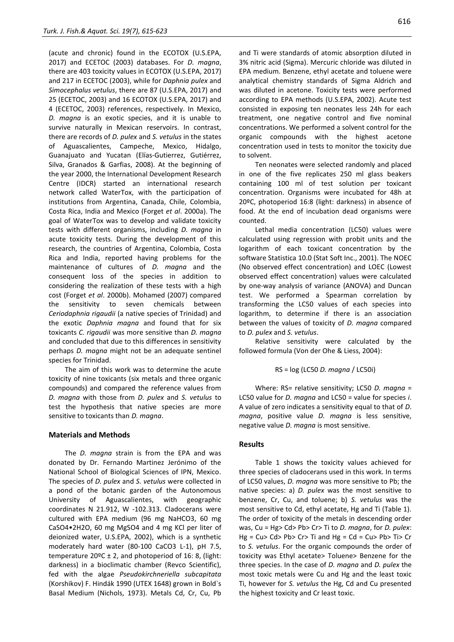(acute and chronic) found in the ECOTOX (U.S.EPA, 2017) and ECETOC (2003) databases. For *D. magna*, there are 403 toxicity values in ECOTOX (U.S.EPA, 2017) and 217 in ECETOC (2003), while for *Daphnia pulex* and *Simocephalus vetulus*, there are 87 (U.S.EPA, 2017) and 25 (ECETOC, 2003) and 16 ECOTOX (U.S.EPA, 2017) and 4 (ECETOC, 2003) references, respectively. In Mexico, *D. magna* is an exotic species, and it is unable to survive naturally in Mexican reservoirs. In contrast, there are records of *D. pulex* and *S. vetulus* in the states of Aguascalientes, Campeche, Mexico, Hidalgo, Guanajuato and Yucatan (Elías-Gutierrez, Gutiérrez, Silva, Granados & Garfias, 2008). At the beginning of the year 2000, the International Development Research Centre (IDCR) started an international research network called WaterTox, with the participation of institutions from Argentina, Canada, Chile, Colombia, Costa Rica, India and Mexico (Forget *et al*. 2000a). The goal of WaterTox was to develop and validate toxicity tests with different organisms, including *D. magna* in acute toxicity tests. During the development of this research, the countries of Argentina, Colombia, Costa Rica and India, reported having problems for the maintenance of cultures of *D. magna* and the consequent loss of the species in addition to considering the realization of these tests with a high cost (Forget *et al*. 2000b). Mohamed (2007) compared the sensitivity to seven chemicals between *Ceriodaphnia rigaudii* (a native species of Trinidad) and the exotic *Daphnia magna* and found that for six toxicants *C. rigaudii* was more sensitive than *D. magna* and concluded that due to this differences in sensitivity perhaps *D. magna* might not be an adequate sentinel species for Trinidad.

The aim of this work was to determine the acute toxicity of nine toxicants (six metals and three organic compounds) and compared the reference values from *D. magna* with those from *D. pulex* and *S. vetulus* to test the hypothesis that native species are more sensitive to toxicants than *D. magna*.

#### **Materials and Methods**

The *D. magna* strain is from the EPA and was donated by Dr. Fernando Martinez Jerónimo of the National School of Biological Sciences of IPN, Mexico. The species of *D. pulex* and *S. vetulus* were collected in a pond of the botanic garden of the Autonomous University of Aguascalientes, with geographic coordinates N 21.912, W -102.313. Cladocerans were cultured with EPA medium (96 mg NaHCO3, 60 mg CaSO4•2H2O, 60 mg MgSO4 and 4 mg KCl per liter of deionized water, U.S.EPA, 2002), which is a synthetic moderately hard water (80-100 CaCO3 L-1), pH 7.5, temperature  $20°C \pm 2$ , and photoperiod of 16: 8, (light: darkness) in a bioclimatic chamber (Revco Scientific), fed with the algae *Pseudokirchneriella subcapitata* (Korshikov) F. Hindák 1990 (UTEX 1648) grown in Bold`s Basal Medium (Nichols, 1973). Metals Cd, Cr, Cu, Pb and Ti were standards of atomic absorption diluted in 3% nitric acid (Sigma). Mercuric chloride was diluted in EPA medium. Benzene, ethyl acetate and toluene were analytical chemistry standards of Sigma Aldrich and was diluted in acetone. Toxicity tests were performed according to EPA methods (U.S.EPA, 2002). Acute test consisted in exposing ten neonates less 24h for each treatment, one negative control and five nominal concentrations. We performed a solvent control for the organic compounds with the highest acetone concentration used in tests to monitor the toxicity due to solvent.

Ten neonates were selected randomly and placed in one of the five replicates 250 ml glass beakers containing 100 ml of test solution per toxicant concentration. Organisms were incubated for 48h at 20ºC, photoperiod 16:8 (light: darkness) in absence of food. At the end of incubation dead organisms were counted.

Lethal media concentration (LC50) values were calculated using regression with probit units and the logarithm of each toxicant concentration by the software Statistica 10.0 (Stat Soft Inc., 2001). The NOEC (No observed effect concentration) and LOEC (Lowest observed effect concentration) values were calculated by one-way analysis of variance (ANOVA) and Duncan test. We performed a Spearman correlation by transforming the LC50 values of each species into logarithm, to determine if there is an association between the values of toxicity of *D. magna* compared to *D. pulex* and *S. vetulus*.

Relative sensitivity were calculated by the followed formula (Von der Ohe & Liess, 2004):

RS = log (LC50 *D. magna* / LC50i)

Where: RS= relative sensitivity; LC50 *D. magna* = LC50 value for *D. magna* and LC50 = value for species *i*. A value of zero indicates a sensitivity equal to that of *D*. *magna*, positive value *D. magna* is less sensitive, negative value *D. magna* is most sensitive.

### **Results**

Table 1 shows the toxicity values achieved for three species of cladocerans used in this work. In terms of LC50 values, *D. magna* was more sensitive to Pb; the native species: a) *D. pulex* was the most sensitive to benzene, Cr, Cu, and toluene; b) *S. vetulus* was the most sensitive to Cd, ethyl acetate, Hg and Ti (Table 1). The order of toxicity of the metals in descending order was, Cu = Hg> Cd> Pb> Cr> Ti to *D. magna*, for *D. pulex*: Hg = Cu> Cd> Pb> Cr> Ti and Hg = Cd = Cu> Pb> Ti> Cr to *S. vetulus*. For the organic compounds the order of toxicity was Ethyl acetate> Toluene> Benzene for the three species. In the case of *D. magna* and *D. pulex* the most toxic metals were Cu and Hg and the least toxic Ti, however for *S. vetulus* the Hg, Cd and Cu presented the highest toxicity and Cr least toxic.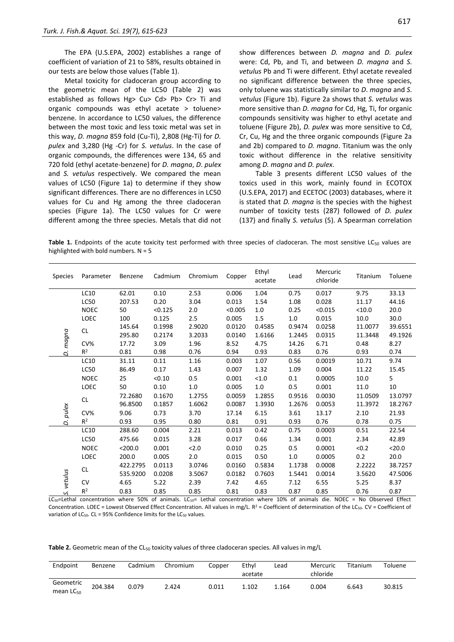The EPA (U.S.EPA, 2002) establishes a range of coefficient of variation of 21 to 58%, results obtained in our tests are below those values (Table 1).

Metal toxicity for cladoceran group according to the geometric mean of the LC50 (Table 2) was established as follows Hg> Cu> Cd> Pb> Cr> Ti and organic compounds was ethyl acetate > toluene> benzene. In accordance to LC50 values, the difference between the most toxic and less toxic metal was set in this way, *D. magna* 859 fold (Cu-Ti), 2,808 (Hg-Ti) for *D. pulex* and 3,280 (Hg -Cr) for *S. vetulus*. In the case of organic compounds, the differences were 134, 65 and 720 fold (ethyl acetate-benzene) for *D. magna*, *D*. *pulex* and *S. vetulus* respectively. We compared the mean values of LC50 (Figure 1a) to determine if they show significant differences. There are no differences in LC50 values for Cu and Hg among the three cladoceran species (Figure 1a). The LC50 values for Cr were different among the three species. Metals that did not show differences between *D. magna* and *D. pulex* were: Cd, Pb, and Ti, and between *D. magna* and *S. vetulus* Pb and Ti were different. Ethyl acetate revealed no significant difference between the three species, only toluene was statistically similar to *D*. *magna* and *S. vetulus* (Figure 1b). Figure 2a shows that *S. vetulus* was more sensitive than *D. magna* for Cd, Hg, Ti, for organic compounds sensitivity was higher to ethyl acetate and toluene (Figure 2b), *D. pulex* was more sensitive to Cd, Cr, Cu, Hg and the three organic compounds (Figure 2a and 2b) compared to *D. magna*. Titanium was the only toxic without difference in the relative sensitivity among *D. magna* and *D. pulex*.

Table 3 presents different LC50 values of the toxics used in this work, mainly found in ECOTOX (U.S.EPA, 2017) and ECETOC (2003) databases, where it is stated that *D. magna* is the species with the highest number of toxicity tests (287) followed of *D. pulex* (137) and finally *S. vetulus* (5). A Spearman correlation

Table 1. Endpoints of the acute toxicity test performed with three species of cladoceran. The most sensitive LC<sub>50</sub> values are highlighted with bold numbers.  $N = 5$ 

| <b>Species</b> | Parameter      | Benzene   | Cadmium | Chromium | Copper  | Ethyl<br>acetate | Lead    | Mercuric<br>chloride | Titanium | Toluene |
|----------------|----------------|-----------|---------|----------|---------|------------------|---------|----------------------|----------|---------|
|                | LC10           | 62.01     | 0.10    | 2.53     | 0.006   | 1.04             | 0.75    | 0.017                | 9.75     | 33.13   |
|                | LC50           | 207.53    | 0.20    | 3.04     | 0.013   | 1.54             | 1.08    | 0.028                | 11.17    | 44.16   |
|                | <b>NOEC</b>    | 50        | < 0.125 | 2.0      | < 0.005 | 1.0              | 0.25    | < 0.015              | $<$ 10.0 | 20.0    |
|                | LOEC           | 100       | 0.125   | 2.5      | 0.005   | 1.5              | $1.0\,$ | 0.015                | 10.0     | 30.0    |
|                | <b>CL</b>      | 145.64    | 0.1998  | 2.9020   | 0.0120  | 0.4585           | 0.9474  | 0.0258               | 11.0077  | 39.6551 |
|                |                | 295.80    | 0.2174  | 3.2033   | 0.0140  | 1.6166           | 1.2445  | 0.0315               | 11.3448  | 49.1926 |
| D. magna       | CV%            | 17.72     | 3.09    | 1.96     | 8.52    | 4.75             | 14.26   | 6.71                 | 0.48     | 8.27    |
|                | R <sup>2</sup> | 0.81      | 0.98    | 0.76     | 0.94    | 0.93             | 0.83    | 0.76                 | 0.93     | 0.74    |
|                | LC10           | 31.11     | 0.11    | 1.16     | 0.003   | 1.07             | 0.56    | 0.0019               | 10.71    | 9.74    |
|                | <b>LC50</b>    | 86.49     | 0.17    | 1.43     | 0.007   | 1.32             | 1.09    | 0.004                | 11.22    | 15.45   |
|                | <b>NOEC</b>    | 25        | < 0.10  | 0.5      | 0.001   | < 1.0            | 0.1     | 0.0005               | 10.0     | 5       |
|                | LOEC           | 50        | 0.10    | 1.0      | 0.005   | $1.0\,$          | 0.5     | 0.001                | 11.0     | 10      |
|                | $\mathsf{CL}$  | 72.2680   | 0.1670  | 1.2755   | 0.0059  | 1.2855           | 0.9516  | 0.0030               | 11.0509  | 13.0797 |
|                |                | 96.8500   | 0.1857  | 1.6062   | 0.0087  | 1.3930           | 1.2676  | 0.0053               | 11.3972  | 18.2767 |
| pulex          | CV%            | 9.06      | 0.73    | 3.70     | 17.14   | 6.15             | 3.61    | 13.17                | 2.10     | 21.93   |
| Q.             | $R^2$          | 0.93      | 0.95    | 0.80     | 0.81    | 0.91             | 0.93    | 0.76                 | 0.78     | 0.75    |
|                | LC10           | 288.60    | 0.004   | 2.21     | 0.013   | 0.42             | 0.75    | 0.0003               | 0.51     | 22.54   |
|                | <b>LC50</b>    | 475.66    | 0.015   | 3.28     | 0.017   | 0.66             | 1.34    | 0.001                | 2.34     | 42.89   |
|                | <b>NOEC</b>    | $<$ 200.0 | 0.001   | 2.0      | 0.010   | 0.25             | 0.5     | 0.0001               | < 0.2    | < 20.0  |
|                | <b>LOEC</b>    | 200.0     | 0.005   | 2.0      | 0.015   | 0.50             | $1.0\,$ | 0.0005               | 0.2      | 20.0    |
|                | <b>CL</b>      | 422.2795  | 0.0113  | 3.0746   | 0.0160  | 0.5834           | 1.1738  | 0.0008               | 2.2222   | 38.7257 |
|                |                | 535.9200  | 0.0208  | 3.5067   | 0.0182  | 0.7603           | 1.5441  | 0.0014               | 3.5620   | 47.5006 |
| vetulus        | <b>CV</b>      | 4.65      | 5.22    | 2.39     | 7.42    | 4.65             | 7.12    | 6.55                 | 5.25     | 8.37    |
| S              | R <sup>2</sup> | 0.83      | 0.85    | 0.85     | 0.81    | 0.83             | 0.87    | 0.85                 | 0.76     | 0.87    |

LC50=Lethal concentration where 50% of animals. LC10= Lethal concentration where 10% of animals die. NOEC = No Observed Effect Concentration. LOEC = Lowest Observed Effect Concentration. All values in mg/L. R<sup>2</sup> = Coefficient of determination of the LC<sub>50</sub>. CV = Coefficient of variation of LC50*.* CL = 95% Confidence limits for the LC<sup>50</sup> values*.* 

Table 2. Geometric mean of the CL<sub>50</sub> toxicity values of three cladoceran species. All values in mg/L

| Endpoint                    | Benzene | Cadmium | Chromium | Copper | Ethyl<br>acetate | Lead  | Mercuric<br>chloride | Titanium | Toluene |
|-----------------------------|---------|---------|----------|--------|------------------|-------|----------------------|----------|---------|
| Geometric<br>mean $LC_{50}$ | 204.384 | 0.079   | 2.424    | 0.011  | 1.102            | 1.164 | 0.004                | 6.643    | 30.815  |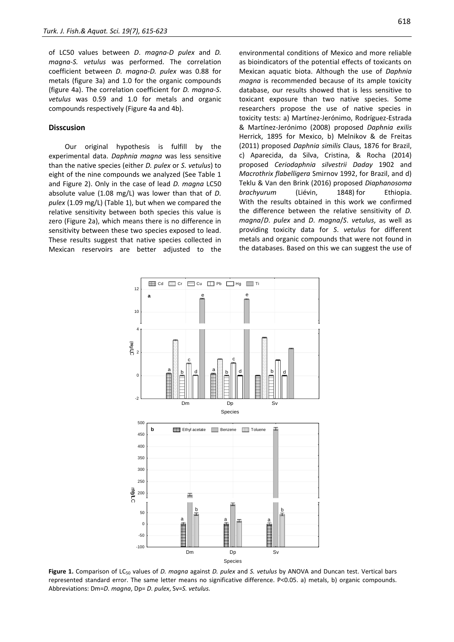of LC50 values between *D*. *magna*-*D pulex* and *D. magna-S. vetulus* was performed. The correlation coefficient between *D. magna-D. pulex* was 0.88 for metals (figure 3a) and 1.0 for the organic compounds (figure 4a). The correlation coefficient for *D. magna-S*. *vetulus* was 0.59 and 1.0 for metals and organic compounds respectively (Figure 4a and 4b).

#### **Disscusion**

Our original hypothesis is fulfill by the experimental data. *Daphnia magna* was less sensitive than the native species (either *D. pulex* or *S. vetulus*) to eight of the nine compounds we analyzed (See Table 1 and Figure 2). Only in the case of lead *D. magna* LC50 absolute value (1.08 mg/L) was lower than that of *D. pulex* (1.09 mg/L) (Table 1), but when we compared the relative sensitivity between both species this value is zero (Figure 2a), which means there is no difference in sensitivity between these two species exposed to lead. These results suggest that native species collected in Mexican reservoirs are better adjusted to the environmental conditions of Mexico and more reliable as bioindicators of the potential effects of toxicants on Mexican aquatic biota. Although the use of *Daphnia magna* is recommended because of its ample toxicity database, our results showed that is less sensitive to toxicant exposure than two native species. Some researchers propose the use of native species in toxicity tests: a) Martínez-Jerónimo, Rodríguez-Estrada & Martínez-Jerónimo (2008) proposed *Daphnia exilis* Herrick, 1895 for Mexico, b) Melnikov & de Freitas (2011) proposed *Daphnia similis* Claus, 1876 for Brazil, c) Aparecida, da Silva, Cristina, & Rocha (2014) proposed *Ceriodaphnia silvestrii Daday* 1902 and *Macrothrix flabelligera* Smirnov 1992, for Brazil, and d) Teklu & Van den Brink (2016) proposed *Diaphanosoma brachyurum* (Liévin, 1848) for Ethiopia. With the results obtained in this work we confirmed the difference between the relative sensitivity of *D. magna*/*D*. *pulex* and *D*. *magna*/*S*. *vetulus*, as well as providing toxicity data for *S*. *vetulus* for different metals and organic compounds that were not found in the databases. Based on this we can suggest the use of



**Figure 1.** Comparison of LC<sup>50</sup> values of *D. magna* against *D. pulex* and *S. vetulus* by ANOVA and Duncan test. Vertical bars represented standard error. The same letter means no significative difference. P<0.05. a) metals, b) organic compounds. Abbreviations: Dm=*D. magna*, Dp= *D. pulex*, Sv=*S. vetulus.*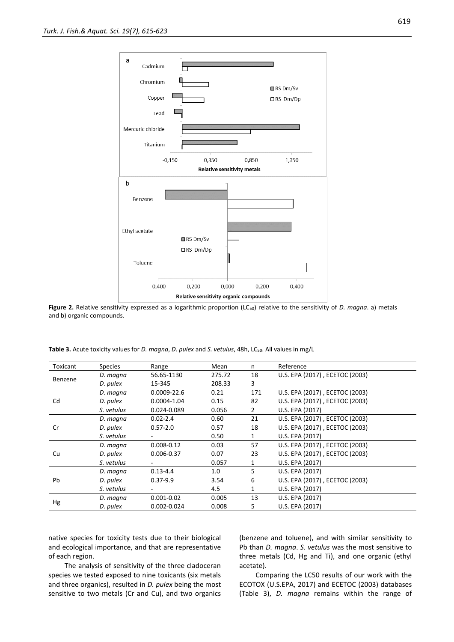

Figure 2. Relative sensitivity expressed as a logarithmic proportion (LC<sub>50</sub>) relative to the sensitivity of *D. magna*. a) metals and b) organic compounds.

| Toxicant | <b>Species</b> | Range          | Mean   | n              | Reference                      |  |
|----------|----------------|----------------|--------|----------------|--------------------------------|--|
| Benzene  | D. magna       | 56.65-1130     | 275.72 | 18             | U.S. EPA (2017), ECETOC (2003) |  |
|          | D. pulex       | 15-345         | 208.33 | 3              |                                |  |
| Cd       | D. magna       | 0.0009-22.6    | 0.21   | 171            | U.S. EPA (2017), ECETOC (2003) |  |
|          | D. pulex       | 0.0004-1.04    | 0.15   | 82             | U.S. EPA (2017), ECETOC (2003) |  |
|          | S. vetulus     | 0.024-0.089    | 0.056  | $\overline{2}$ | U.S. EPA (2017)                |  |
|          | D. magna       | $0.02 - 2.4$   | 0.60   | 21             | U.S. EPA (2017), ECETOC (2003) |  |
| Cr       | D. pulex       | $0.57 - 2.0$   | 0.57   | 18             | U.S. EPA (2017), ECETOC (2003) |  |
|          | S. vetulus     |                | 0.50   | 1              | U.S. EPA (2017)                |  |
|          | D. magna       | $0.008 - 0.12$ | 0.03   | 57             | U.S. EPA (2017), ECETOC (2003) |  |
| Cu       | D. pulex       | 0.006-0.37     | 0.07   | 23             | U.S. EPA (2017), ECETOC (2003) |  |
|          | S. vetulus     |                | 0.057  | 1              | U.S. EPA (2017)                |  |
| Pb       | D. magna       | $0.13 - 4.4$   | 1.0    | 5              | U.S. EPA (2017)                |  |
|          | D. pulex       | $0.37 - 9.9$   | 3.54   | 6              | U.S. EPA (2017), ECETOC (2003) |  |
|          | S. vetulus     |                | 4.5    | 1              | U.S. EPA (2017)                |  |
| Hg       | D. magna       | $0.001 - 0.02$ | 0.005  | 13             | U.S. EPA (2017)                |  |
|          | D. pulex       | 0.002-0.024    | 0.008  | 5              | U.S. EPA (2017)                |  |

Table 3. Acute toxicity values for *D. magna*, *D. pulex* and *S. vetulus*, 48h, LC<sub>50</sub>. All values in mg/L

native species for toxicity tests due to their biological and ecological importance, and that are representative of each region.

The analysis of sensitivity of the three cladoceran species we tested exposed to nine toxicants (six metals and three organics), resulted in *D. pulex* being the most sensitive to two metals (Cr and Cu), and two organics (benzene and toluene), and with similar sensitivity to Pb than *D. magna*. *S. vetulus* was the most sensitive to three metals (Cd, Hg and Ti), and one organic (ethyl acetate).

Comparing the LC50 results of our work with the ECOTOX (U.S.EPA, 2017) and ECETOC (2003) databases (Table 3), *D. magna* remains within the range of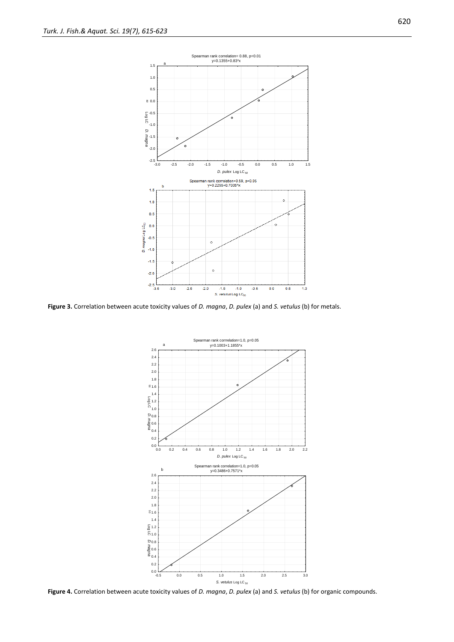

**Figure 3.** Correlation between acute toxicity values of *D. magna*, *D. pulex* (a) and *S. vetulus* (b) for metals.

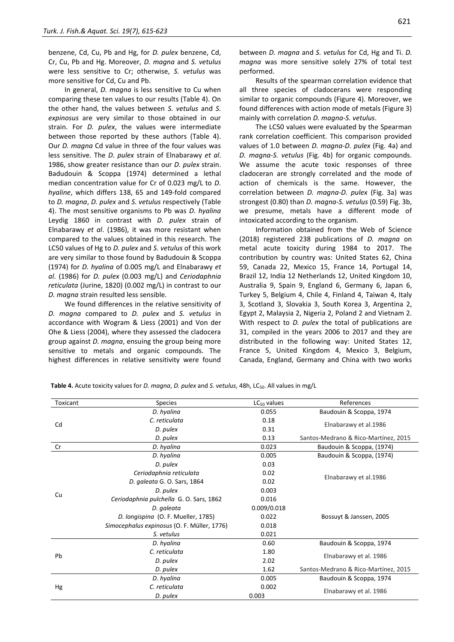benzene, Cd, Cu, Pb and Hg, for *D. pulex* benzene, Cd, Cr, Cu, Pb and Hg. Moreover, *D. magna* and *S. vetulus* were less sensitive to Cr; otherwise, *S. vetulus* was more sensitive for Cd, Cu and Pb.

In general, *D. magna* is less sensitive to Cu when comparing these ten values to our results (Table 4). On the other hand, the values between *S. vetulus* and *S. expinosus* are very similar to those obtained in our strain. For *D. pulex*, the values were intermediate between those reported by these authors (Table 4). Our *D. magna* Cd value in three of the four values was less sensitive. The *D. pulex* strain of Elnabarawy *et al*. 1986, show greater resistance than our *D. pulex* strain. Badudouin & Scoppa (1974) determined a lethal median concentration value for Cr of 0.023 mg/L to *D. hyaline*, which differs 138, 65 and 149-fold compared to *D. magna*, *D. pulex* and *S. vetulus* respectively (Table 4). The most sensitive organisms to Pb was *D. hyalina* Leydig 1860 in contrast with *D. pulex* strain of Elnabarawy *et al*. (1986), it was more resistant when compared to the values obtained in this research. The LC50 values of Hg to *D. pulex* and *S. vetulus* of this work are very similar to those found by Badudouin & Scoppa (1974) for *D. hyalina* of 0.005 mg/L and Elnabarawy *et al*. (1986) for *D. pulex* (0.003 mg/L) and *Ceriodaphnia reticulata* (Jurine, 1820) (0.002 mg/L) in contrast to our *D. magna* strain resulted less sensible.

We found differences in the relative sensitivity of *D. magna* compared to *D. pulex* and *S. vetulus* in accordance with Wogram & Liess (2001) and Von der Ohe & Liess (2004), where they assessed the cladocera group against *D. magna*, ensuing the group being more sensitive to metals and organic compounds. The highest differences in relative sensitivity were found between *D. magna* and *S. vetulus* for Cd, Hg and Ti. *D. magna* was more sensitive solely 27% of total test performed.

Results of the spearman correlation evidence that all three species of cladocerans were responding similar to organic compounds (Figure 4). Moreover, we found differences with action mode of metals (Figure 3) mainly with correlation *D. magna*-*S. vetulus*.

The LC50 values were evaluated by the Spearman rank correlation coefficient. This comparison provided values of 1.0 between *D. magna*-*D. pulex* (Fig. 4a) and *D. magna*-*S. vetulus* (Fig. 4b) for organic compounds. We assume the acute toxic responses of three cladoceran are strongly correlated and the mode of action of chemicals is the same. However, the correlation between *D. magna*-*D. pulex* (Fig. 3a) was strongest (0.80) than *D. magna*-*S. vetulus* (0.59) Fig. 3b, we presume, metals have a different mode of intoxicated according to the organism.

Information obtained from the Web of Science (2018) registered 238 publications of *D. magna* on metal acute toxicity during 1984 to 2017. The contribution by country was: United States 62, China 59, Canada 22, Mexico 15, France 14, Portugal 14, Brazil 12, India 12 Netherlands 12, United Kingdom 10, Australia 9, Spain 9, England 6, Germany 6, Japan 6, Turkey 5, Belgium 4, Chile 4, Finland 4, Taiwan 4, Italy 3, Scotland 3, Slovakia 3, South Korea 3, Argentina 2, Egypt 2, Malaysia 2, Nigeria 2, Poland 2 and Vietnam 2. With respect to *D. pulex* the total of publications are 31, compiled in the years 2006 to 2017 and they are distributed in the following way: United States 12, France 5, United Kingdom 4, Mexico 3, Belgium, Canada, England, Germany and China with two works

| Toxicant | <b>Species</b>                              | $LC_{50}$ values | References                           |
|----------|---------------------------------------------|------------------|--------------------------------------|
|          | D. hyalina                                  | 0.055            | Baudouin & Scoppa, 1974              |
| Cd       | C. reticulata                               | 0.18             | Elnabarawy et al.1986                |
|          | D. pulex                                    | 0.31             |                                      |
|          | D. pulex                                    | 0.13             | Santos-Medrano & Rico-Martínez, 2015 |
| Cr       | D. hyalina                                  | 0.023            | Baudouin & Scoppa, (1974)            |
|          | D. hyalina                                  | 0.005            | Baudouin & Scoppa, (1974)            |
|          | D. pulex                                    | 0.03             |                                      |
|          | Ceriodaphnia reticulata                     | 0.02             |                                      |
|          | D. galeata G. O. Sars, 1864                 | 0.02             | Elnabarawy et al.1986                |
|          | D. pulex                                    | 0.003            |                                      |
| Cu       | Ceriodaphnia pulchella G. O. Sars, 1862     | 0.016            |                                      |
|          | D. galeata                                  | 0.009/0.018      |                                      |
|          | D. longispina (O. F. Mueller, 1785)         | 0.022            | Bossuyt & Janssen, 2005              |
|          | Simocephalus expinosus (O. F. Müller, 1776) | 0.018            |                                      |
|          | S. vetulus                                  | 0.021            |                                      |
|          | D. hyalina                                  | 0.60             | Baudouin & Scoppa, 1974              |
| Pb       | C. reticulata                               | 1.80             |                                      |
|          | D. pulex                                    | 2.02             | Elnabarawy et al. 1986               |
|          | D. pulex                                    | 1.62             | Santos-Medrano & Rico-Martínez, 2015 |
|          | D. hyalina                                  | 0.005            | Baudouin & Scoppa, 1974              |
| Hg       | C. reticulata                               | 0.002            |                                      |
|          | D. pulex                                    | 0.003            | Elnabarawy et al. 1986               |

Table 4. Acute toxicity values for *D. magna*, *D. pulex* and *S. vetulus*, 48h, LC<sub>50</sub>. All values in mg/L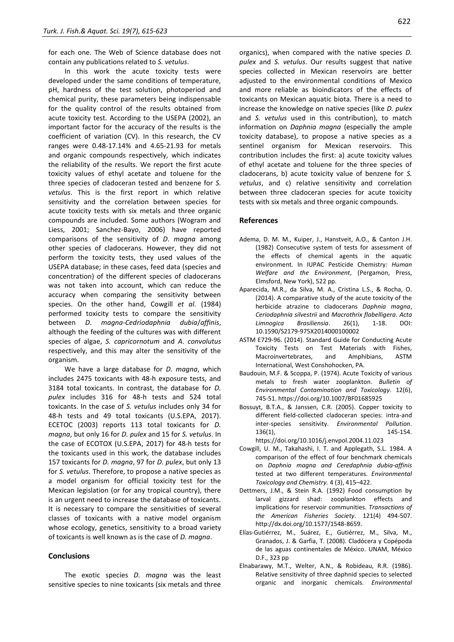for each one. The Web of Science database does not contain any publications related to *S. vetulus*.

In this work the acute toxicity tests were developed under the same conditions of temperature, pH, hardness of the test solution, photoperiod and chemical purity, these parameters being indispensable for the quality control of the results obtained from acute toxicity test. According to the USEPA (2002), an important factor for the accuracy of the results is the coefficient of variation (CV). In this research, the CV ranges were 0.48-17.14% and 4.65-21.93 for metals and organic compounds respectively, which indicates the reliability of the results. We report the first acute toxicity values of ethyl acetate and toluene for the three species of cladoceran tested and benzene for *S. vetulus*. This is the first report in which relative sensitivity and the correlation between species for acute toxicity tests with six metals and three organic compounds are included. Some authors (Wogram and Liess, 2001; Sanchez-Bayo, 2006) have reported comparisons of the sensitivity of *D*. *magna* among other species of cladocerans. However, they did not perform the toxicity tests, they used values of the USEPA database; in these cases, feed data (species and concentration) of the different species of cladocerans was not taken into account, which can reduce the accuracy when comparing the sensitivity between species. On the other hand, Cowgill *et al*. (1984) performed toxicity tests to compare the sensitivity between *D*. *magna*-*Cedriodaphnia dubia*/*affinis*, although the feeding of the cultures was with different species of algae, *S. capricornotum* and *A*. *convolutus* respectively, and this may alter the sensitivity of the organism.

We have a large database for *D. magna*, which includes 2475 toxicants with 48-h exposure tests, and 3184 total toxicants. In contrast, the database for *D. pulex* includes 316 for 48-h tests and 524 total toxicants. In the case of *S. vetulus* includes only 34 for 48-h tests and 49 total toxicants (U.S.EPA, 2017). ECETOC (2003) reports 113 total toxicants for *D. magna*, but only 16 for *D. pulex* and 15 for *S. vetulus*. In the case of ECOTOX (U.S.EPA, 2017) for 48-h tests for the toxicants used in this work, the database includes 157 toxicants for *D. magna*, 97 for *D. pulex*, but only 13 for *S. vetulus*. Therefore, to propose a native species as a model organism for official toxicity test for the Mexican legislation (or for any tropical country), there is an urgent need to increase the database of toxicants. It is necessary to compare the sensitivities of several classes of toxicants with a native model organism whose ecology, genetics, sensitivity to a broad variety of toxicants is well known as is the case of *D. magna*.

#### **Conclusions**

The exotic species *D. magna* was the least sensitive species to nine toxicants (six metals and three organics), when compared with the native species *D. pulex* and *S. vetulus*. Our results suggest that native species collected in Mexican reservoirs are better adjusted to the environmental conditions of Mexico and more reliable as bioindicators of the effects of toxicants on Mexican aquatic biota. There is a need to increase the knowledge on native species (like *D. pulex* and *S. vetulus* used in this contribution), to match information on *Daphnia magna* (especially the ample toxicity database), to propose a native species as a sentinel organism for Mexican reservoirs. This contribution includes the first: a) acute toxicity values of ethyl acetate and toluene for the three species of cladocerans, b) acute toxicity value of benzene for *S. vetulus*, and c) relative sensitivity and correlation between three cladoceran species for acute toxicity tests with six metals and three organic compounds.

#### **References**

- Adema, D. M. M., Kuiper, J., Hanstveit, A.O., & Canton J.H. (1982) Consecutive system of tests for assessment of the effects of chemical agents in the aquatic environment. In IUPAC Pesticide Chemistry*: Human Welfare and the Environment*, (Pergamon, Press, Elmsford, New York), 522 pp.
- Aparecida, M.R., da Silva, M. A., Cristina L.S., & Rocha, O. (2014). A comparative study of the acute toxicity of the herbicide atrazine to cladocerans *Daphnia magna*, *Ceriodaphnia silvestrii* and *Macrothrix flabelligera*. *Acta Limnogica Brasiliensia*. 26(1), 1-18. DOI: 10.1590/S2179-975X2014000100002
- ASTM E729-96. (2014). Standard Guide for Conducting Acute Toxicity Tests on Test Materials with Fishes, Macroinvertebrates, and Amphibians, ASTM International, West Conshohocken, PA.
- Baudouin, M.F. & Scoppa, P. (1974). Acute Toxicity of various metals to fresh water zooplankton. *Bulletin of Environmental Contamination and Toxicology.* 12(6), 745-51. https://doi.org/10.1007/BF01685925
- Bossuyt, B.T.A., & Janssen, C.R. (2005). Copper toxicity to different field-collected cladoceran species: intra-and inter-species sensitivity. *Environmental Pollution*. 136(1), 145-154. https://doi.org/10.1016/j.envpol.2004.11.023
- Cowgill, U. M., Takahashi, I. T. and Applegath, S.L. 1984. A comparison of the effect of four benchmark chemicals on *Daphnia magna and Ceredaphnia dubia‐affinis* tested at two different temperatures. *Environmental Toxicology and Chemistry.* 4 (3), 415–422.
- Dettmers, J.M., & Stein R.A. (1992) Food consumption by larval gizzard shad: zooplankton effects and implications for reservoir communities. *Transactions of the American Fisheries Society*. 121(4) 494-507. http://dx.doi.org/10.1577/1548-8659.
- Elías-Gutiérrez, M., Suárez, E., Gutiérrez, M., Silva, M., Granados, J. & Garfia, T. (2008). Cladócera y Copépoda de las aguas continentales de México. UNAM, México D.F., 323 pp
- Elnabarawy, M.T., Welter, A.N., & Robideau, R.R. (1986). Relative sensitivity of three daphnid species to selected organic and inorganic chemicals. *Environmental*